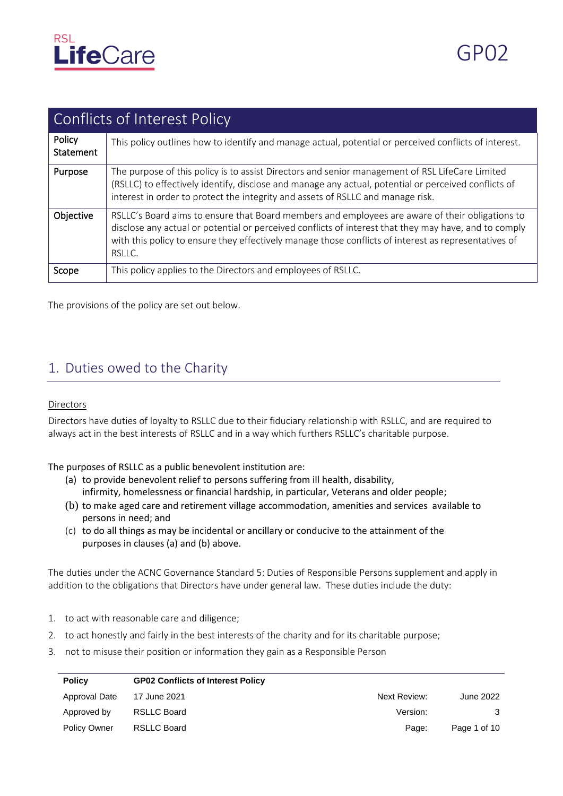

|                     | Conflicts of Interest Policy                                                                                                                                                                                                                                                                                               |  |  |  |  |
|---------------------|----------------------------------------------------------------------------------------------------------------------------------------------------------------------------------------------------------------------------------------------------------------------------------------------------------------------------|--|--|--|--|
| Policy<br>Statement | This policy outlines how to identify and manage actual, potential or perceived conflicts of interest.                                                                                                                                                                                                                      |  |  |  |  |
| Purpose             | The purpose of this policy is to assist Directors and senior management of RSL LifeCare Limited<br>(RSLLC) to effectively identify, disclose and manage any actual, potential or perceived conflicts of<br>interest in order to protect the integrity and assets of RSLLC and manage risk.                                 |  |  |  |  |
| Objective           | RSLLC's Board aims to ensure that Board members and employees are aware of their obligations to<br>disclose any actual or potential or perceived conflicts of interest that they may have, and to comply<br>with this policy to ensure they effectively manage those conflicts of interest as representatives of<br>RSLLC. |  |  |  |  |
| Scope               | This policy applies to the Directors and employees of RSLLC.                                                                                                                                                                                                                                                               |  |  |  |  |

The provisions of the policy are set out below.

## 1. Duties owed to the Charity

#### **Directors**

Directors have duties of loyalty to RSLLC due to their fiduciary relationship with RSLLC, and are required to always act in the best interests of RSLLC and in a way which furthers RSLLC's charitable purpose.

The purposes of RSLLC as a public benevolent institution are:

- (a) to provide benevolent relief to persons suffering from ill health, disability, infirmity, homelessness or financial hardship, in particular, Veterans and older people;
- (b) to make aged care and retirement village accommodation, amenities and services  available to persons in need; and
- (c) to do all things as may be incidental or ancillary or conducive to the attainment of the purposes in clauses (a) and (b) above.

The duties under the ACNC Governance Standard 5: Duties of Responsible Persons supplement and apply in addition to the obligations that Directors have under general law. These duties include the duty:

- 1. to act with reasonable care and diligence;
- 2. to act honestly and fairly in the best interests of the charity and for its charitable purpose;
- 3. not to misuse their position or information they gain as a Responsible Person

| <b>Policy</b>       | <b>GP02 Conflicts of Interest Policy</b> |              |              |
|---------------------|------------------------------------------|--------------|--------------|
| Approval Date       | 17 June 2021                             | Next Review: | June 2022    |
| Approved by         | <b>RSLLC Board</b>                       | Version:     |              |
| <b>Policy Owner</b> | <b>RSLLC Board</b>                       | Page:        | Page 1 of 10 |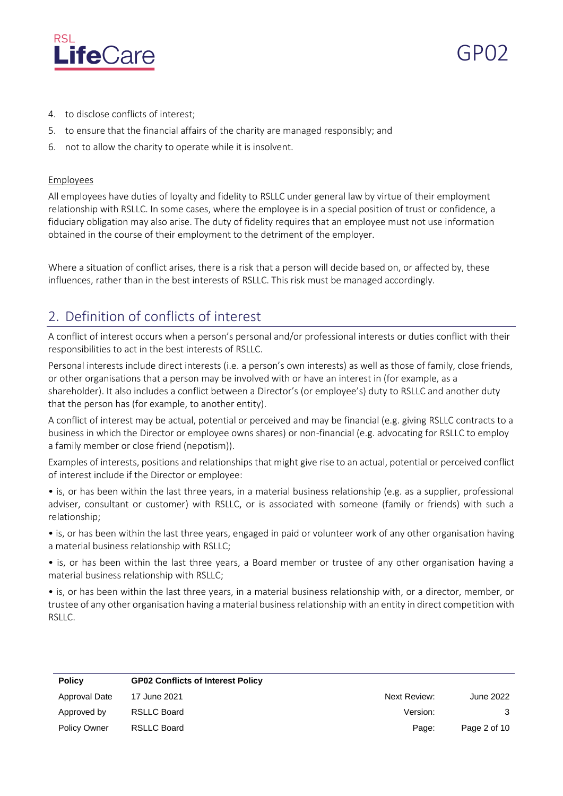

- 4. to disclose conflicts of interest;
- 5. to ensure that the financial affairs of the charity are managed responsibly; and
- 6. not to allow the charity to operate while it is insolvent.

#### **Employees**

All employees have duties of loyalty and fidelity to RSLLC under general law by virtue of their employment relationship with RSLLC. In some cases, where the employee is in a special position of trust or confidence, a fiduciary obligation may also arise. The duty of fidelity requires that an employee must not use information obtained in the course of their employment to the detriment of the employer.

Where a situation of conflict arises, there is a risk that a person will decide based on, or affected by, these influences, rather than in the best interests of RSLLC. This risk must be managed accordingly.

# 2. Definition of conflicts of interest

A conflict of interest occurs when a person's personal and/or professional interests or duties conflict with their responsibilities to act in the best interests of RSLLC.

Personal interests include direct interests (i.e. a person's own interests) as well as those of family, close friends, or other organisations that a person may be involved with or have an interest in (for example, as a shareholder). It also includes a conflict between a Director's (or employee's) duty to RSLLC and another duty that the person has (for example, to another entity).

A conflict of interest may be actual, potential or perceived and may be financial (e.g. giving RSLLC contracts to a business in which the Director or employee owns shares) or non-financial (e.g. advocating for RSLLC to employ a family member or close friend (nepotism)).

Examples of interests, positions and relationships that might give rise to an actual, potential or perceived conflict of interest include if the Director or employee:

• is, or has been within the last three years, in a material business relationship (e.g. as a supplier, professional adviser, consultant or customer) with RSLLC, or is associated with someone (family or friends) with such a relationship;

• is, or has been within the last three years, engaged in paid or volunteer work of any other organisation having a material business relationship with RSLLC;

• is, or has been within the last three years, a Board member or trustee of any other organisation having a material business relationship with RSLLC;

• is, or has been within the last three years, in a material business relationship with, or a director, member, or trustee of any other organisation having a material business relationship with an entity in direct competition with RSLLC.

| <b>Policy</b>       | <b>GP02 Conflicts of Interest Policy</b> |              |              |
|---------------------|------------------------------------------|--------------|--------------|
| Approval Date       | 17 June 2021                             | Next Review: | June 2022    |
| Approved by         | RSLLC Board                              | Version:     | 3            |
| <b>Policy Owner</b> | <b>RSLLC Board</b>                       | Page:        | Page 2 of 10 |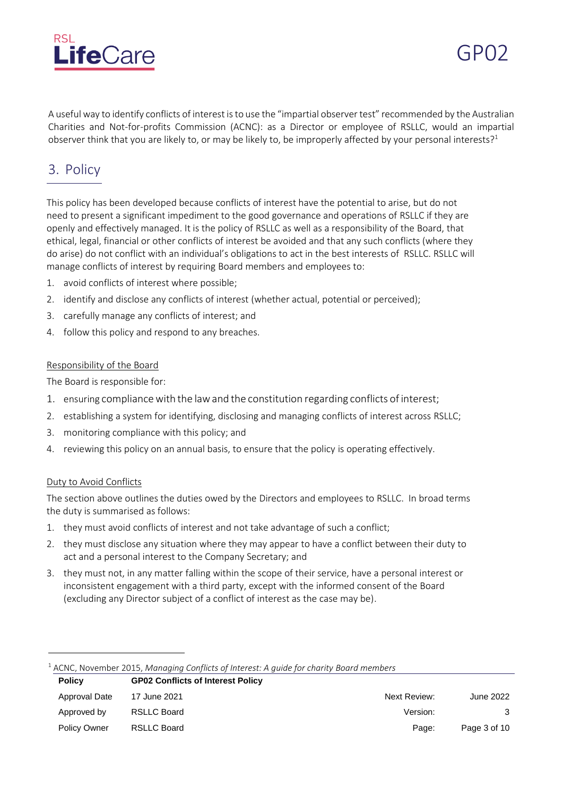

A useful way to identify conflicts of interest is to use the "impartial observer test" recommended by the Australian Charities and Not-for-profits Commission (ACNC): as a Director or employee of RSLLC, would an impartial observer think that you are likely to, or may be likely to, be improperly affected by your personal interests?<sup>1</sup>

## 3. Policy

This policy has been developed because conflicts of interest have the potential to arise, but do not need to present a significant impediment to the good governance and operations of RSLLC if they are openly and effectively managed. It is the policy of RSLLC as well as a responsibility of the Board, that ethical, legal, financial or other conflicts of interest be avoided and that any such conflicts (where they do arise) do not conflict with an individual's obligations to act in the best interests of RSLLC. RSLLC will manage conflicts of interest by requiring Board members and employees to:

- 1. avoid conflicts of interest where possible;
- 2. identify and disclose any conflicts of interest (whether actual, potential or perceived);
- 3. carefully manage any conflicts of interest; and
- 4. follow this policy and respond to any breaches.

#### Responsibility of the Board

The Board is responsible for:

- 1. ensuring compliance with the law and the constitution regarding conflicts of interest;
- 2. establishing a system for identifying, disclosing and managing conflicts of interest across RSLLC;
- 3. monitoring compliance with this policy; and
- 4. reviewing this policy on an annual basis, to ensure that the policy is operating effectively.

#### Duty to Avoid Conflicts

The section above outlines the duties owed by the Directors and employees to RSLLC. In broad terms the duty is summarised as follows:

- 1. they must avoid conflicts of interest and not take advantage of such a conflict;
- 2. they must disclose any situation where they may appear to have a conflict between their duty to act and a personal interest to the Company Secretary; and
- 3. they must not, in any matter falling within the scope of their service, have a personal interest or inconsistent engagement with a third party, except with the informed consent of the Board (excluding any Director subject of a conflict of interest as the case may be).

|  |  | $^1$ ACNC, November 2015, Managing Conflicts of Interest: A guide for charity Board members |  |
|--|--|---------------------------------------------------------------------------------------------|--|
|--|--|---------------------------------------------------------------------------------------------|--|

| <b>Policy</b>       | <b>GP02 Conflicts of Interest Policy</b> |              |              |
|---------------------|------------------------------------------|--------------|--------------|
| Approval Date       | 17 June 2021                             | Next Review: | June 2022    |
| Approved by         | RSLLC Board                              | Version:     | 3            |
| <b>Policy Owner</b> | RSLLC Board                              | Page:        | Page 3 of 10 |
|                     |                                          |              |              |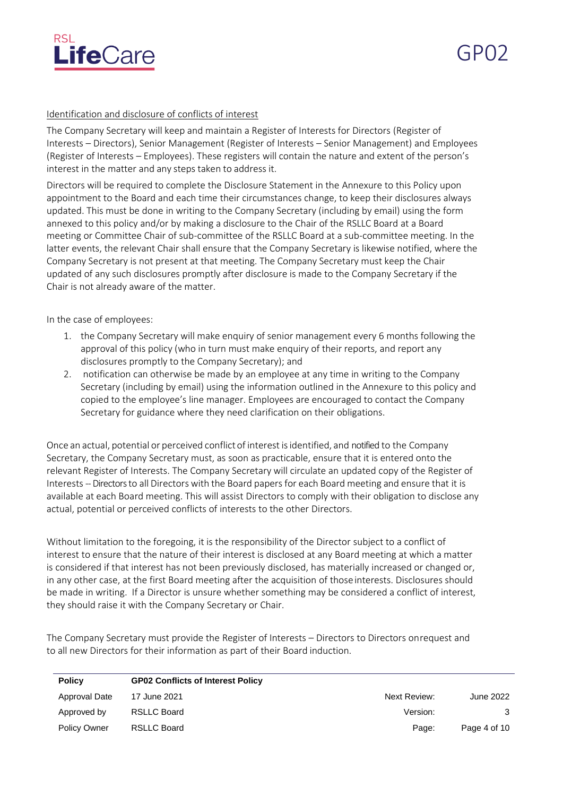

GP02

#### Identification and disclosure of conflicts of interest

The Company Secretary will keep and maintain a Register of Interests for Directors (Register of Interests – Directors), Senior Management (Register of Interests – Senior Management) and Employees (Register of Interests – Employees). These registers will contain the nature and extent of the person's interest in the matter and any steps taken to address it.

Directors will be required to complete the Disclosure Statement in the Annexure to this Policy upon appointment to the Board and each time their circumstances change, to keep their disclosures always updated. This must be done in writing to the Company Secretary (including by email) using the form annexed to this policy and/or by making a disclosure to the Chair of the RSLLC Board at a Board meeting or Committee Chair of sub-committee of the RSLLC Board at a sub-committee meeting. In the latter events, the relevant Chair shall ensure that the Company Secretary is likewise notified, where the Company Secretary is not present at that meeting. The Company Secretary must keep the Chair updated of any such disclosures promptly after disclosure is made to the Company Secretary if the Chair is not already aware of the matter.

In the case of employees:

- 1. the Company Secretary will make enquiry of senior management every 6 months following the approval of this policy (who in turn must make enquiry of their reports, and report any disclosures promptly to the Company Secretary); and
- 2. notification can otherwise be made by an employee at any time in writing to the Company Secretary (including by email) using the information outlined in the Annexure to this policy and copied to the employee's line manager. Employees are encouraged to contact the Company Secretary for guidance where they need clarification on their obligations.

Once an actual, potential or perceived conflict of interest isidentified, and notified to the Company Secretary, the Company Secretary must, as soon as practicable, ensure that it is entered onto the relevant Register of Interests. The Company Secretary will circulate an updated copy of the Register of Interests --Directors to all Directors with the Board papersfor each Board meeting and ensure that it is available at each Board meeting. This will assist Directors to comply with their obligation to disclose any actual, potential or perceived conflicts of interests to the other Directors.

Without limitation to the foregoing, it is the responsibility of the Director subject to a conflict of interest to ensure that the nature of their interest is disclosed at any Board meeting at which a matter is considered if that interest has not been previously disclosed, has materially increased or changed or, in any other case, at the first Board meeting after the acquisition of thoseinterests. Disclosures should be made in writing. If a Director is unsure whether something may be considered a conflict of interest, they should raise it with the Company Secretary or Chair.

The Company Secretary must provide the Register of Interests – Directors to Directors onrequest and to all new Directors for their information as part of their Board induction.

| <b>Policy</b>       | <b>GP02 Conflicts of Interest Policy</b> |              |              |
|---------------------|------------------------------------------|--------------|--------------|
| Approval Date       | 17 June 2021                             | Next Review: | June 2022    |
| Approved by         | <b>RSLLC Board</b>                       | Version:     | 3            |
| <b>Policy Owner</b> | <b>RSLLC Board</b>                       | Page:        | Page 4 of 10 |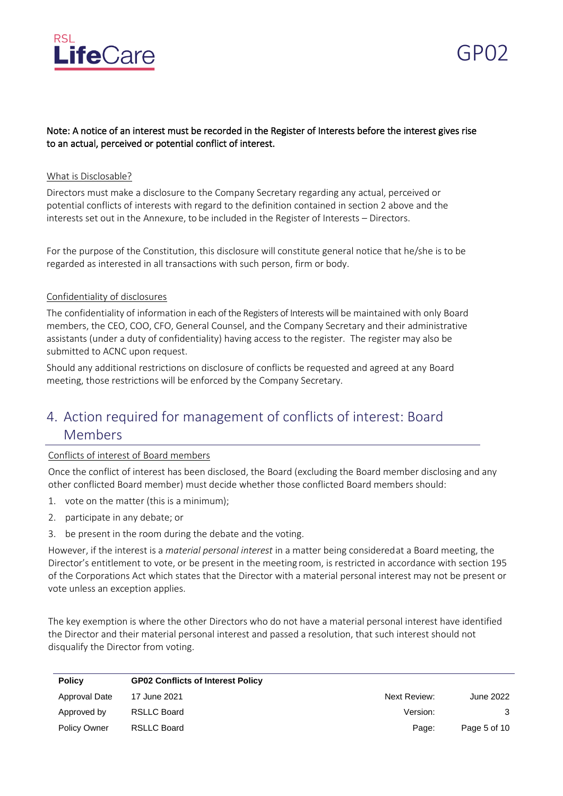

#### Note: A notice of an interest must be recorded in the Register of Interests before the interest gives rise to an actual, perceived or potential conflict of interest.

#### What is Disclosable?

Directors must make a disclosure to the Company Secretary regarding any actual, perceived or potential conflicts of interests with regard to the definition contained in section 2 above and the interests set out in the Annexure, to be included in the Register of Interests – Directors.

For the purpose of the Constitution, this disclosure will constitute general notice that he/she is to be regarded as interested in all transactions with such person, firm or body.

#### Confidentiality of disclosures

The confidentiality of information in each ofthe Registers of Interests will be maintained with only Board members, the CEO, COO, CFO, General Counsel, and the Company Secretary and their administrative assistants (under a duty of confidentiality) having access to the register. The register may also be submitted to ACNC upon request.

Should any additional restrictions on disclosure of conflicts be requested and agreed at any Board meeting, those restrictions will be enforced by the Company Secretary.

# 4. Action required for management of conflicts of interest: Board Members

#### Conflicts of interest of Board members

Once the conflict of interest has been disclosed, the Board (excluding the Board member disclosing and any other conflicted Board member) must decide whether those conflicted Board members should:

- 1. vote on the matter (this is a minimum);
- 2. participate in any debate; or
- 3. be present in the room during the debate and the voting.

However, if the interest is a *material personal interest* in a matter being consideredat a Board meeting, the Director's entitlement to vote, or be present in the meeting room, is restricted in accordance with section 195 of the Corporations Act which states that the Director with a material personal interest may not be present or vote unless an exception applies.

The key exemption is where the other Directors who do not have a material personal interest have identified the Director and their material personal interest and passed a resolution, that such interest should not disqualify the Director from voting.

| <b>Policy</b>       | <b>GP02 Conflicts of Interest Policy</b> |              |              |
|---------------------|------------------------------------------|--------------|--------------|
| Approval Date       | 17 June 2021                             | Next Review: | June 2022    |
| Approved by         | RSLLC Board                              | Version:     | 3            |
| <b>Policy Owner</b> | RSLLC Board                              | Page:        | Page 5 of 10 |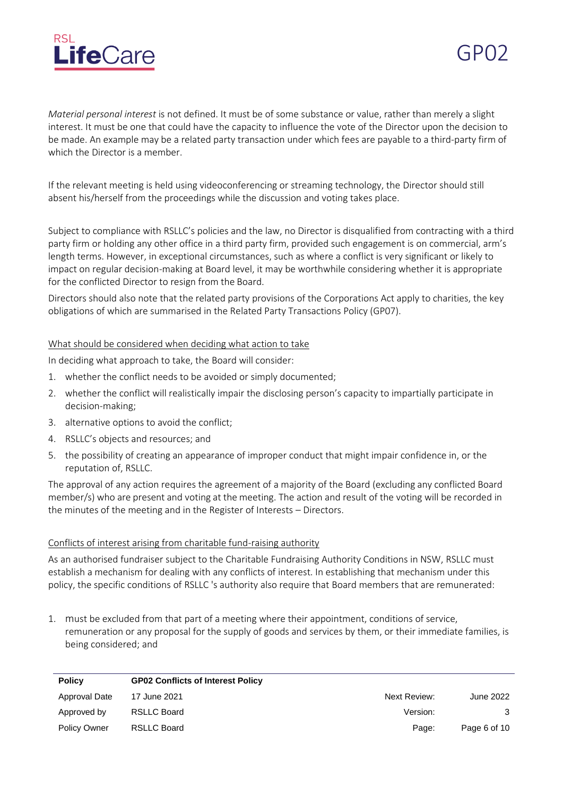

*Material personal interest* is not defined. It must be of some substance or value, rather than merely a slight interest. It must be one that could have the capacity to influence the vote of the Director upon the decision to be made. An example may be a related party transaction under which fees are payable to a third-party firm of which the Director is a member.

If the relevant meeting is held using videoconferencing or streaming technology, the Director should still absent his/herself from the proceedings while the discussion and voting takes place.

Subject to compliance with RSLLC's policies and the law, no Director is disqualified from contracting with a third party firm or holding any other office in a third party firm, provided such engagement is on commercial, arm's length terms. However, in exceptional circumstances, such as where a conflict is very significant or likely to impact on regular decision-making at Board level, it may be worthwhile considering whether it is appropriate for the conflicted Director to resign from the Board.

Directors should also note that the related party provisions of the Corporations Act apply to charities, the key obligations of which are summarised in the Related Party Transactions Policy (GP07).

#### What should be considered when deciding what action to take

In deciding what approach to take, the Board will consider:

- 1. whether the conflict needs to be avoided or simply documented;
- 2. whether the conflict will realistically impair the disclosing person's capacity to impartially participate in decision-making;
- 3. alternative options to avoid the conflict;
- 4. RSLLC's objects and resources; and
- 5. the possibility of creating an appearance of improper conduct that might impair confidence in, or the reputation of, RSLLC.

The approval of any action requires the agreement of a majority of the Board (excluding any conflicted Board member/s) who are present and voting at the meeting. The action and result of the voting will be recorded in the minutes of the meeting and in the Register of Interests – Directors.

#### Conflicts of interest arising from charitable fund-raising authority

As an authorised fundraiser subject to the Charitable Fundraising Authority Conditions in NSW, RSLLC must establish a mechanism for dealing with any conflicts of interest. In establishing that mechanism under this policy, the specific conditions of RSLLC 's authority also require that Board members that are remunerated:

1. must be excluded from that part of a meeting where their appointment, conditions of service, remuneration or any proposal for the supply of goods and services by them, or their immediate families, is being considered; and

| <b>Policy</b>       | <b>GP02 Conflicts of Interest Policy</b> |              |              |
|---------------------|------------------------------------------|--------------|--------------|
| Approval Date       | 17 June 2021                             | Next Review: | June 2022    |
| Approved by         | RSLLC Board                              | Version:     | 3            |
| <b>Policy Owner</b> | RSLLC Board                              | Page:        | Page 6 of 10 |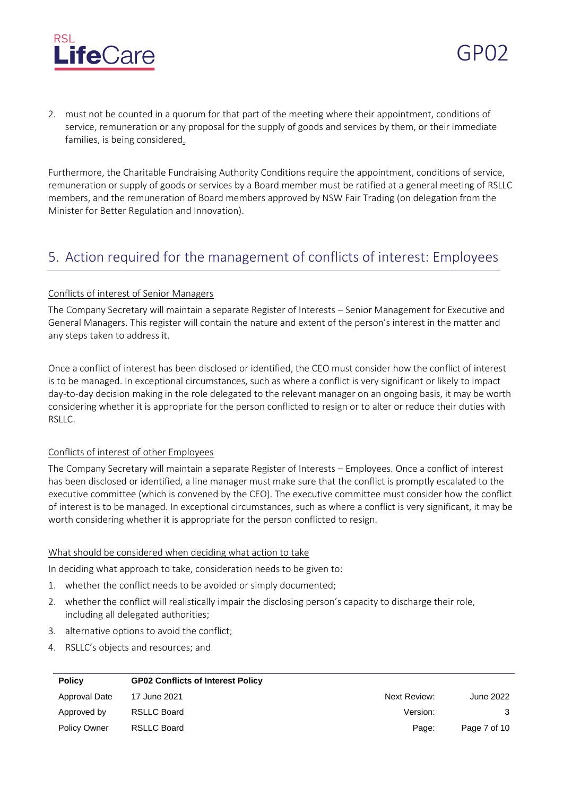

2. must not be counted in a quorum for that part of the meeting where their appointment, conditions of service, remuneration or any proposal for the supply of goods and services by them, or their immediate families, is being considered.

Furthermore, the Charitable Fundraising Authority Conditions require the appointment, conditions of service, remuneration or supply of goods or services by a Board member must be ratified at a general meeting of RSLLC members, and the remuneration of Board members approved by NSW Fair Trading (on delegation from the Minister for Better Regulation and Innovation).

## 5. Action required for the management of conflicts of interest: Employees

#### Conflicts of interest of Senior Managers

The Company Secretary will maintain a separate Register of Interests – Senior Management for Executive and General Managers. This register will contain the nature and extent of the person's interest in the matter and any steps taken to address it.

Once a conflict of interest has been disclosed or identified, the CEO must consider how the conflict of interest is to be managed. In exceptional circumstances, such as where a conflict is very significant or likely to impact day-to-day decision making in the role delegated to the relevant manager on an ongoing basis, it may be worth considering whether it is appropriate for the person conflicted to resign or to alter or reduce their duties with RSLLC.

#### Conflicts of interest of other Employees

The Company Secretary will maintain a separate Register of Interests – Employees. Once a conflict of interest has been disclosed or identified, a line manager must make sure that the conflict is promptly escalated to the executive committee (which is convened by the CEO). The executive committee must consider how the conflict of interest is to be managed. In exceptional circumstances, such as where a conflict is very significant, it may be worth considering whether it is appropriate for the person conflicted to resign.

#### What should be considered when deciding what action to take

In deciding what approach to take, consideration needs to be given to:

- 1. whether the conflict needs to be avoided or simply documented;
- 2. whether the conflict will realistically impair the disclosing person's capacity to discharge their role, including all delegated authorities;
- 3. alternative options to avoid the conflict;
- 4. RSLLC's objects and resources; and

| <b>Policy</b>       | <b>GP02 Conflicts of Interest Policy</b> |              |              |
|---------------------|------------------------------------------|--------------|--------------|
| Approval Date       | 17 June 2021                             | Next Review: | June 2022    |
| Approved by         | <b>RSLLC Board</b>                       | Version:     | 3            |
| <b>Policy Owner</b> | <b>RSLLC Board</b>                       | Page:        | Page 7 of 10 |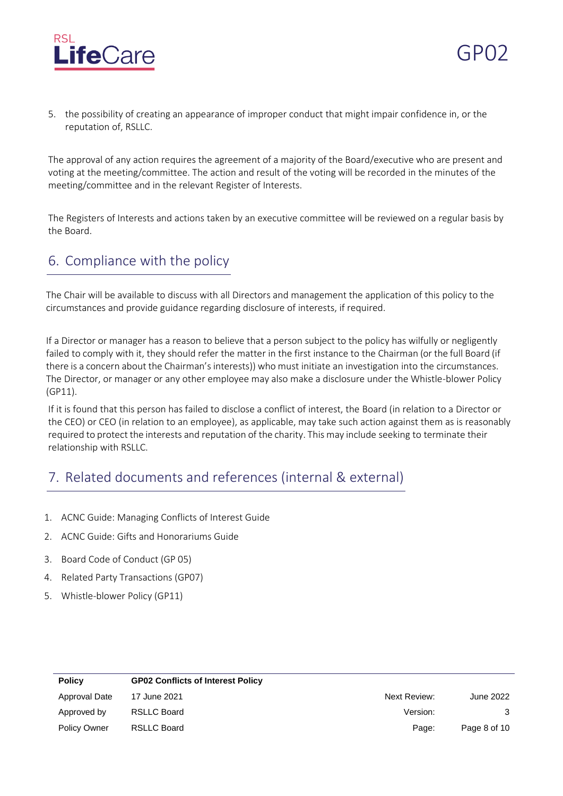

5. the possibility of creating an appearance of improper conduct that might impair confidence in, or the reputation of, RSLLC.

GP02

The approval of any action requires the agreement of a majority of the Board/executive who are present and voting at the meeting/committee. The action and result of the voting will be recorded in the minutes of the meeting/committee and in the relevant Register of Interests.

The Registers of Interests and actions taken by an executive committee will be reviewed on a regular basis by the Board.

## 6. Compliance with the policy

The Chair will be available to discuss with all Directors and management the application of this policy to the circumstances and provide guidance regarding disclosure of interests, if required.

If a Director or manager has a reason to believe that a person subject to the policy has wilfully or negligently failed to comply with it, they should refer the matter in the first instance to the Chairman (or the full Board (if there is a concern about the Chairman's interests)) who must initiate an investigation into the circumstances. The Director, or manager or any other employee may also make a disclosure under the Whistle-blower Policy (GP11).

If it is found that this person has failed to disclose a conflict of interest, the Board (in relation to a Director or the CEO) or CEO (in relation to an employee), as applicable, may take such action against them as is reasonably required to protect the interests and reputation of the charity. This may include seeking to terminate their relationship with RSLLC.

# 7. Related documents and references (internal & external)

- 1. ACNC Guide: Managing Conflicts of Interest Guide
- 2. ACNC Guide: Gifts and Honorariums Guide
- 3. Board Code of Conduct (GP 05)
- 4. Related Party Transactions (GP07)
- 5. Whistle-blower Policy (GP11)

| <b>Policy</b>       | <b>GP02 Conflicts of Interest Policy</b> |              |              |
|---------------------|------------------------------------------|--------------|--------------|
| Approval Date       | 17 June 2021                             | Next Review: | June 2022    |
| Approved by         | RSLLC Board                              | Version:     |              |
| <b>Policy Owner</b> | RSLLC Board                              | Page:        | Page 8 of 10 |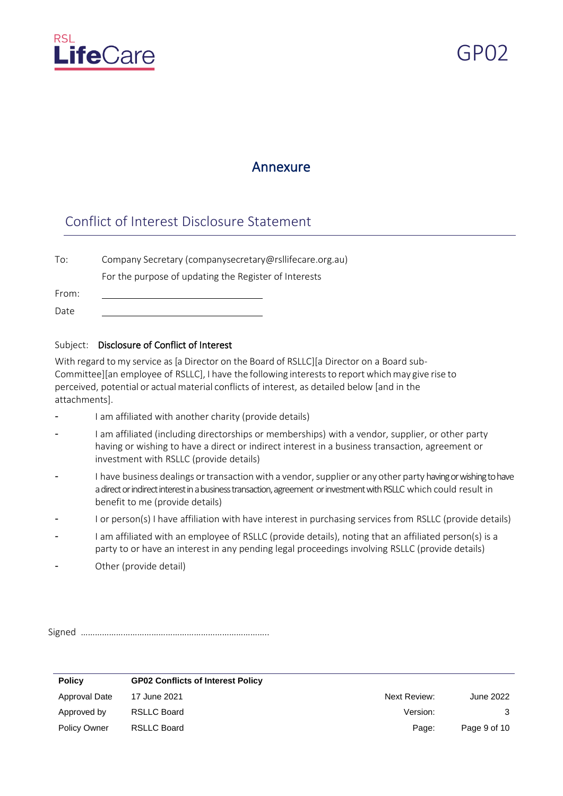

 $GP()$ 

## Annexure

## Conflict of Interest Disclosure Statement

To: Company Secretary (companysecretary@rsllifecare.org.au) For the purpose of updating the Register of Interests

From: Date

#### Subject: Disclosure of Conflict of Interest

With regard to my service as [a Director on the Board of RSLLC][a Director on a Board sub-Committee][an employee of RSLLC], I have the following intereststo reportwhichmay give rise to perceived, potential or actualmaterial conflicts of interest, as detailed below [and in the attachments].

- I am affiliated with another charity (provide details)
- I am affiliated (including directorships or memberships) with a vendor, supplier, or other party having or wishing to have a direct or indirect interest in a business transaction, agreement or investment with RSLLC (provide details)
- I have business dealings or transaction with a vendor, supplier or any other party having or wishing to have a direct or indirect interest in a business transaction, agreement or investment with RSLLC which could result in benefit to me (provide details)
- I or person(s) I have affiliation with have interest in purchasing services from RSLLC (provide details)
- I am affiliated with an employee of RSLLC (provide details), noting that an affiliated person(s) is a party to or have an interest in any pending legal proceedings involving RSLLC (provide details)
- Other (provide detail)

Signed ……………………………………………………………………..

| <b>Policy</b>       | <b>GP02 Conflicts of Interest Policy</b> |              |              |
|---------------------|------------------------------------------|--------------|--------------|
| Approval Date       | 17 June 2021                             | Next Review: | June 2022    |
| Approved by         | RSLLC Board                              | Version:     |              |
| <b>Policy Owner</b> | RSLLC Board                              | Page:        | Page 9 of 10 |